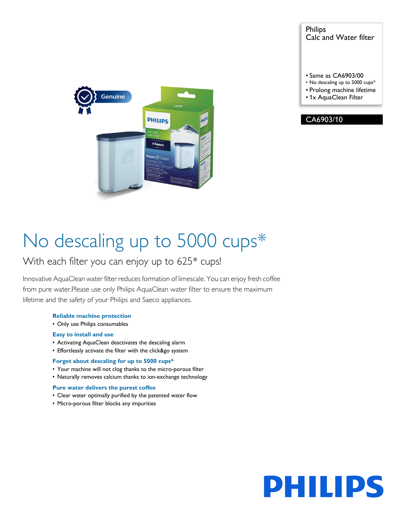Philips Calc and Water filter

- Same as CA6903/00
- No descaling up to 5000 cups\*
- Prolong machine lifetime
- 1x AquaClean Filter





# No descaling up to 5000 cups<sup>\*</sup>

### With each filter you can enjoy up to 625\* cups!

Innovative AquaClean water filter reduces formation of limescale. You can enjoy fresh coffee from pure water.Please use only Philips AquaClean water filter to ensure the maximum lifetime and the safety of your Philips and Saeco appliances.

#### **Reliable machine protection**

• Only use Philips consumables

#### **Easy to install and use**

- Activating AquaClean deactivates the descaling alarm
- Effortlessly activate the filter with the click&go system

#### **Forget about descaling for up to 5000 cups\***

- Your machine will not clog thanks to the micro-porous filter
- Naturally removes calcium thanks to ion-exchange technology

#### **Pure water delivers the purest coffee**

- Clear water optimally purified by the patented water flow
- Micro-porous filter blocks any impurities

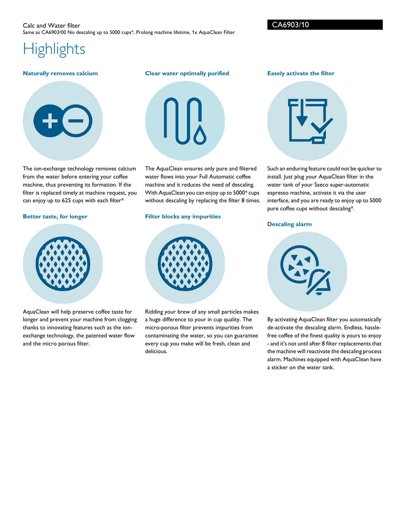#### Calc and Water filter Same as CA6903/00 No descaling up to 5000 cups\*, Prolong machine lifetime, 1x AquaClean Filter

**Highlights** 

#### **Naturally removes calcium**



The ion-exchange technology removes calcium from the water before entering your coffee machine, thus preventing its formation. If the filter is replaced timely at machine request, you can enjoy up to 625 cups with each filter\*

#### **Better taste, for longer**



AquaClean will help preserve coffee taste for longer and prevent your machine from clogging thanks to innovating features such as the ionexchange technology, the patented water flow and the micro porous filter.

### **Clear water optimally purified**



The AquaClean ensures only pure and filtered water flows into your Full Automatic coffee machine and it reduces the need of descaling. With AquaClean you can enjoy up to 5000\* cups without descaling by replacing the filter 8 times.

#### **Filter blocks any impurities**



Ridding your brew of any small particles makes a huge difference to your in cup quality. The micro-porous filter prevents impurities from contaminating the water, so you can guarantee every cup you make will be fresh, clean and delicious.

**Easely activate the filter**



Such an enduring feature could not be quicker to install. Just plug your AquaClean filter in the water tank of your Saeco super-automatic espresso machine, activate it via the user interface, and you are ready to enjoy up to 5000 pure coffee cups without descaling\*.

#### **Descaling alarm**



By activating AquaClean filter you automatically de-activate the descaling alarm. Endless, hasslefree coffee of the finest quality is yours to enjoy - and it's not until after 8 filter replacements that the machine will reactivate the descaling process alarm. Machines equipped with AquaClean have a sticker on the water tank.